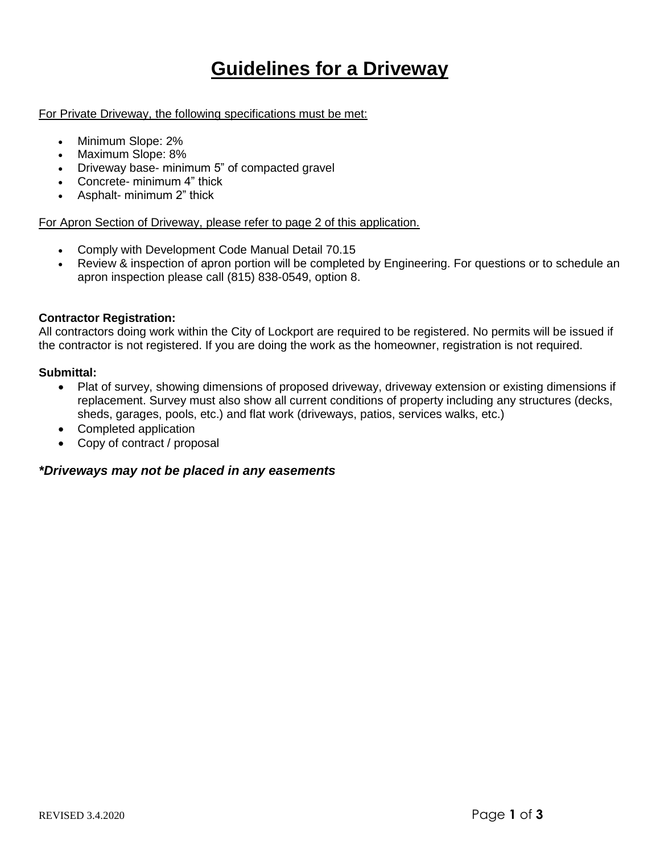# **Guidelines for a Driveway**

For Private Driveway, the following specifications must be met:

- Minimum Slope: 2%
- Maximum Slope: 8%
- Driveway base- minimum 5" of compacted gravel
- Concrete- minimum 4" thick
- Asphalt- minimum 2" thick

### For Apron Section of Driveway, please refer to page 2 of this application.

- Comply with Development Code Manual Detail 70.15
- Review & inspection of apron portion will be completed by Engineering. For questions or to schedule an apron inspection please call (815) 838-0549, option 8.

## **Contractor Registration:**

All contractors doing work within the City of Lockport are required to be registered. No permits will be issued if the contractor is not registered. If you are doing the work as the homeowner, registration is not required.

### **Submittal:**

- Plat of survey, showing dimensions of proposed driveway, driveway extension or existing dimensions if replacement. Survey must also show all current conditions of property including any structures (decks, sheds, garages, pools, etc.) and flat work (driveways, patios, services walks, etc.)
- Completed application
- Copy of contract / proposal

## *\*Driveways may not be placed in any easements*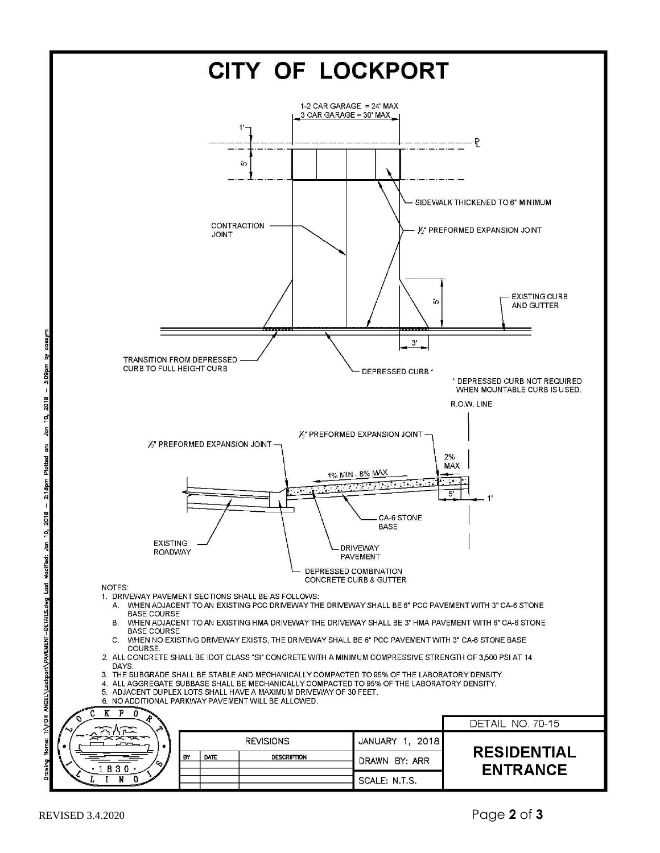